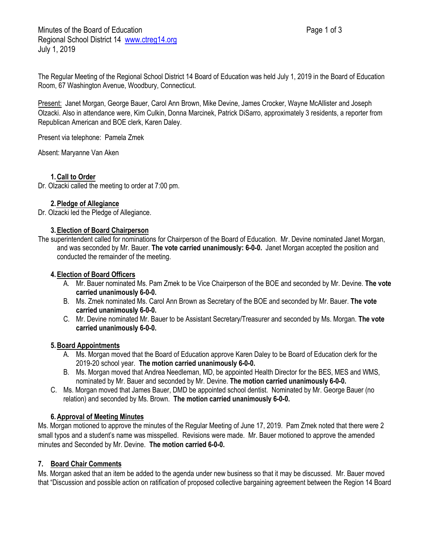The Regular Meeting of the Regional School District 14 Board of Education was held July 1, 2019 in the Board of Education Room, 67 Washington Avenue, Woodbury, Connecticut.

Present: Janet Morgan, George Bauer, Carol Ann Brown, Mike Devine, James Crocker, Wayne McAllister and Joseph Olzacki. Also in attendance were, Kim Culkin, Donna Marcinek, Patrick DiSarro, approximately 3 residents, a reporter from Republican American and BOE clerk, Karen Daley.

Present via telephone: Pamela Zmek

Absent: Maryanne Van Aken

### **1.Call to Order**

Dr. Olzacki called the meeting to order at 7:00 pm.

## **2.Pledge of Allegiance**

Dr. Olzacki led the Pledge of Allegiance.

### **3.Election of Board Chairperson**

The superintendent called for nominations for Chairperson of the Board of Education. Mr. Devine nominated Janet Morgan, and was seconded by Mr. Bauer. **The vote carried unanimously: 6-0-0.** Janet Morgan accepted the position and conducted the remainder of the meeting.

### **4.Election of Board Officers**

- A. Mr. Bauer nominated Ms. Pam Zmek to be Vice Chairperson of the BOE and seconded by Mr. Devine. **The vote carried unanimously 6-0-0.**
- B. Ms. Zmek nominated Ms. Carol Ann Brown as Secretary of the BOE and seconded by Mr. Bauer. **The vote carried unanimously 6-0-0.**
- C. Mr. Devine nominated Mr. Bauer to be Assistant Secretary/Treasurer and seconded by Ms. Morgan. **The vote carried unanimously 6-0-0.**

### **5.Board Appointments**

- A. Ms. Morgan moved that the Board of Education approve Karen Daley to be Board of Education clerk for the 2019-20 school year. **The motion carried unanimously 6-0-0.**
- B. Ms. Morgan moved that Andrea Needleman, MD, be appointed Health Director for the BES, MES and WMS, nominated by Mr. Bauer and seconded by Mr. Devine. **The motion carried unanimously 6-0-0.**
- C. Ms. Morgan moved that James Bauer, DMD be appointed school dentist. Nominated by Mr. George Bauer (no relation) and seconded by Ms. Brown. **The motion carried unanimously 6-0-0.**

## **6.Approval of Meeting Minutes**

Ms. Morgan motioned to approve the minutes of the Regular Meeting of June 17, 2019. Pam Zmek noted that there were 2 small typos and a student's name was misspelled. Revisions were made. Mr. Bauer motioned to approve the amended minutes and Seconded by Mr. Devine. **The motion carried 6-0-0.**

## **7. Board Chair Comments**

Ms. Morgan asked that an item be added to the agenda under new business so that it may be discussed. Mr. Bauer moved that "Discussion and possible action on ratification of proposed collective bargaining agreement between the Region 14 Board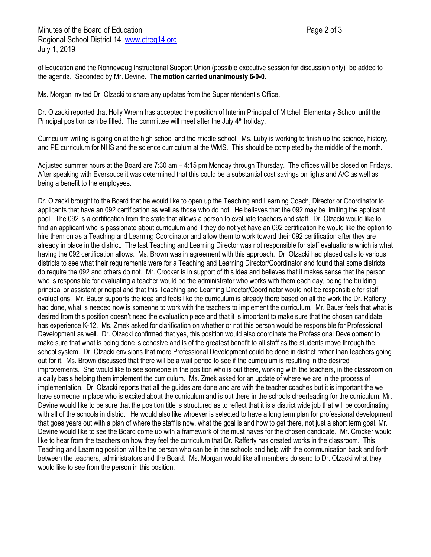of Education and the Nonnewaug Instructional Support Union (possible executive session for discussion only)" be added to the agenda. Seconded by Mr. Devine. **The motion carried unanimously 6-0-0.**

Ms. Morgan invited Dr. Olzacki to share any updates from the Superintendent's Office.

Dr. Olzacki reported that Holly Wrenn has accepted the position of Interim Principal of Mitchell Elementary School until the Principal position can be filled. The committee will meet after the July  $4<sup>th</sup>$  holiday.

Curriculum writing is going on at the high school and the middle school. Ms. Luby is working to finish up the science, history, and PE curriculum for NHS and the science curriculum at the WMS. This should be completed by the middle of the month.

Adjusted summer hours at the Board are 7:30 am – 4:15 pm Monday through Thursday. The offices will be closed on Fridays. After speaking with Eversouce it was determined that this could be a substantial cost savings on lights and A/C as well as being a benefit to the employees.

Dr. Olzacki brought to the Board that he would like to open up the Teaching and Learning Coach, Director or Coordinator to applicants that have an 092 certification as well as those who do not. He believes that the 092 may be limiting the applicant pool. The 092 is a certification from the state that allows a person to evaluate teachers and staff. Dr. Olzacki would like to find an applicant who is passionate about curriculum and if they do not yet have an 092 certification he would like the option to hire them on as a Teaching and Learning Coordinator and allow them to work toward their 092 certification after they are already in place in the district. The last Teaching and Learning Director was not responsible for staff evaluations which is what having the 092 certification allows. Ms. Brown was in agreement with this approach. Dr. Olzacki had placed calls to various districts to see what their requirements were for a Teaching and Learning Director/Coordinator and found that some districts do require the 092 and others do not. Mr. Crocker is in support of this idea and believes that it makes sense that the person who is responsible for evaluating a teacher would be the administrator who works with them each day, being the building principal or assistant principal and that this Teaching and Learning Director/Coordinator would not be responsible for staff evaluations. Mr. Bauer supports the idea and feels like the curriculum is already there based on all the work the Dr. Rafferty had done, what is needed now is someone to work with the teachers to implement the curriculum. Mr. Bauer feels that what is desired from this position doesn't need the evaluation piece and that it is important to make sure that the chosen candidate has experience K-12. Ms. Zmek asked for clarification on whether or not this person would be responsible for Professional Development as well. Dr. Olzacki confirmed that yes, this position would also coordinate the Professional Development to make sure that what is being done is cohesive and is of the greatest benefit to all staff as the students move through the school system. Dr. Olzacki envisions that more Professional Development could be done in district rather than teachers going out for it. Ms. Brown discussed that there will be a wait period to see if the curriculum is resulting in the desired improvements. She would like to see someone in the position who is out there, working with the teachers, in the classroom on a daily basis helping them implement the curriculum. Ms. Zmek asked for an update of where we are in the process of implementation. Dr. Olzacki reports that all the guides are done and are with the teacher coaches but it is important the we have someone in place who is excited about the curriculum and is out there in the schools cheerleading for the curriculum. Mr. Devine would like to be sure that the position title is structured as to reflect that it is a district wide job that will be coordinating with all of the schools in district. He would also like whoever is selected to have a long term plan for professional development that goes years out with a plan of where the staff is now, what the goal is and how to get there, not just a short term goal. Mr. Devine would like to see the Board come up with a framework of the must haves for the chosen candidate. Mr. Crocker would like to hear from the teachers on how they feel the curriculum that Dr. Rafferty has created works in the classroom. This Teaching and Learning position will be the person who can be in the schools and help with the communication back and forth between the teachers, administrators and the Board. Ms. Morgan would like all members do send to Dr. Olzacki what they would like to see from the person in this position.